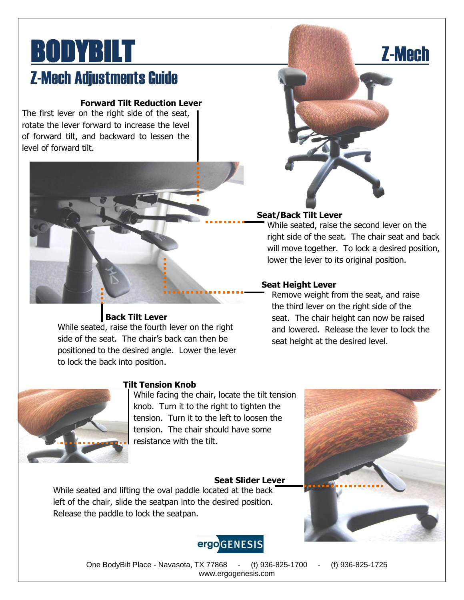## BODYBILT **EXECUTERS EXECUTED A** Z-Mech **Z-Mech Adjustments Guide**

### **Forward Tilt Reduction Lever**

The first lever on the right side of the seat, rotate the lever forward to increase the level of forward tilt, and backward to lessen the level of forward tilt.



### **Seat/Back Tilt Lever**

While seated, raise the second lever on the right side of the seat. The chair seat and back will move together. To lock a desired position, lower the lever to its original position.

### **Seat Height Lever**

Remove weight from the seat, and raise the third lever on the right side of the seat. The chair height can now be raised and lowered. Release the lever to lock the seat height at the desired level.



### **Tilt Tension Knob**

**Back Tilt Lever** While seated, raise the fourth lever on the right side of the seat. The chair's back can then be positioned to the desired angle. Lower the lever

to lock the back into position.

While facing the chair, locate the tilt tension knob. Turn it to the right to tighten the tension. Turn it to the left to loosen the tension. The chair should have some resistance with the tilt.

### **Seat Slider Lever**

While seated and lifting the oval paddle located at the back left of the chair, slide the seatpan into the desired position. Release the paddle to lock the seatpan.





One BodyBilt Place - Navasota, TX 77868 - (t) 936-825-1700 - (f) 936-825-1725 www.ergogenesis.com